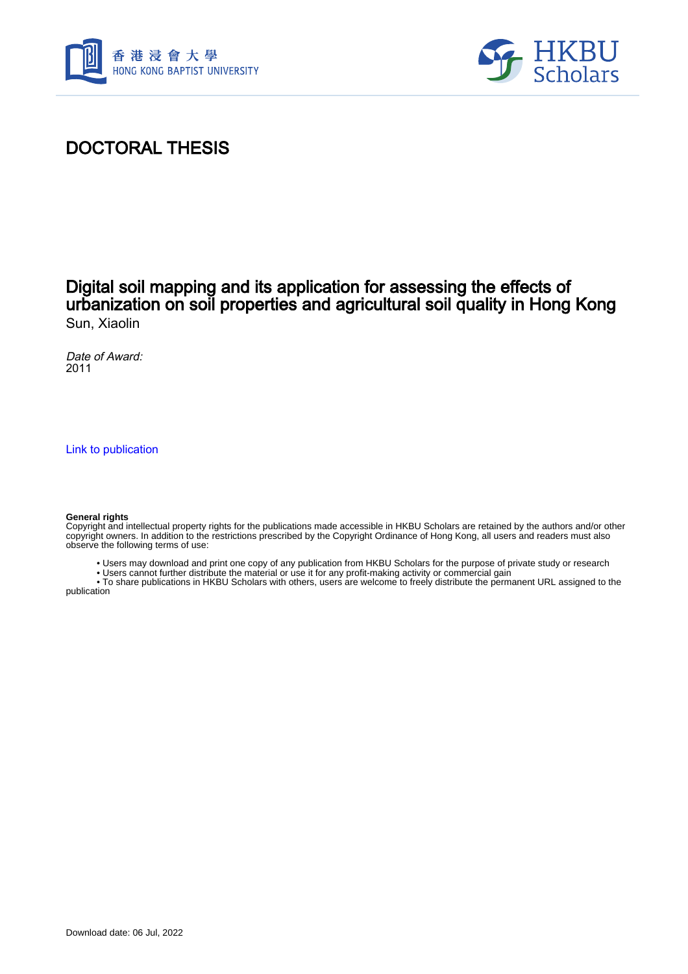



## DOCTORAL THESIS

### Digital soil mapping and its application for assessing the effects of urbanization on soil properties and agricultural soil quality in Hong Kong Sun, Xiaolin

Date of Award: 2011

[Link to publication](https://scholars.hkbu.edu.hk/en/studentTheses/43d28faf-7493-4f97-9506-1149c4f63ad4)

#### **General rights**

Copyright and intellectual property rights for the publications made accessible in HKBU Scholars are retained by the authors and/or other copyright owners. In addition to the restrictions prescribed by the Copyright Ordinance of Hong Kong, all users and readers must also observe the following terms of use:

- Users may download and print one copy of any publication from HKBU Scholars for the purpose of private study or research
- Users cannot further distribute the material or use it for any profit-making activity or commercial gain

 • To share publications in HKBU Scholars with others, users are welcome to freely distribute the permanent URL assigned to the publication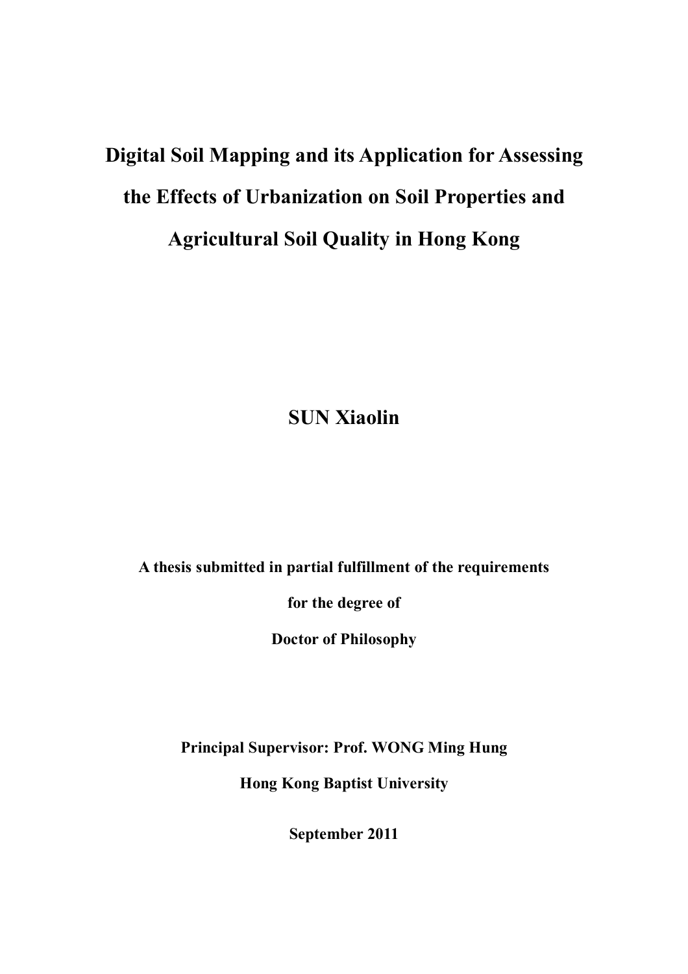# **Digital Soil Mapping and its Application for Assessing the Effects of Urbanization on Soil Properties and Agricultural Soil Quality in Hong Kong**

**SUN Xiaolin**

**A thesis submitted in partial fulfillment of the requirements**

**for the degree of**

**Doctor of Philosophy**

**Principal Supervisor: Prof. WONG Ming Hung**

**Hong Kong Baptist University**

**September 2011**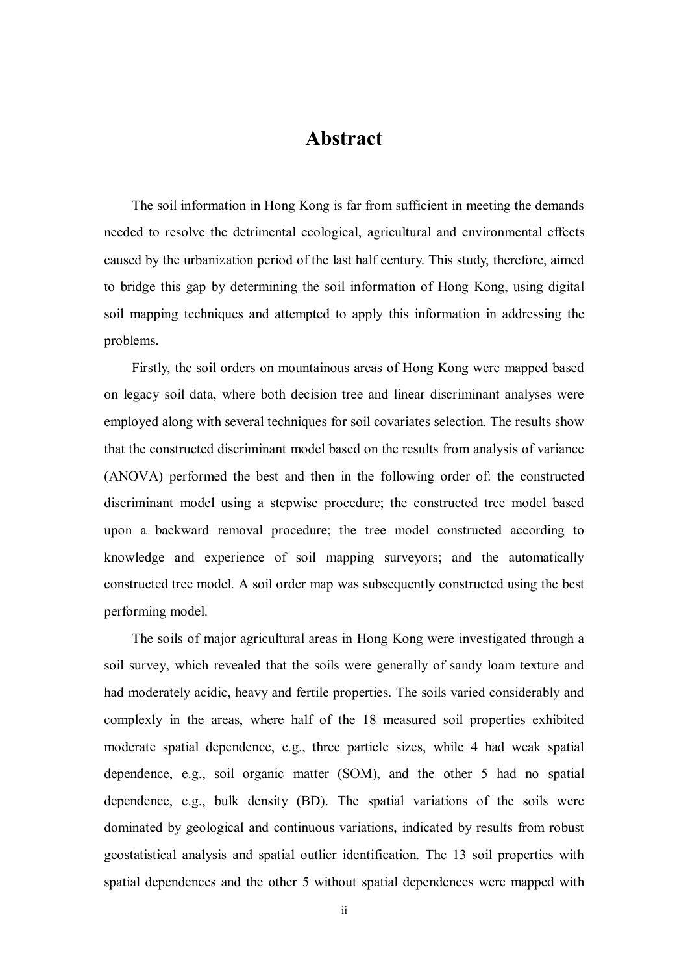## **Abstract**

The soil information in Hong Kong is far from sufficient in meeting the demands needed to resolve the detrimental ecological, agricultural and environmental effects caused by the urbanization period of the last half century. This study, therefore, aimed to bridge this gap by determining the soil information of Hong Kong, using digital soil mapping techniques and attempted to apply this information in addressing the problems.

Firstly, the soil orders on mountainous areas of Hong Kong were mapped based on legacy soil data, where both decision tree and linear discriminant analyses were employed along with several techniques for soil covariates selection. The results show that the constructed discriminant model based on the results from analysis of variance (ANOVA) performed the best and then in the following order of: the constructed discriminant model using a stepwise procedure; the constructed tree model based upon a backward removal procedure; the tree model constructed according to knowledge and experience of soil mapping surveyors; and the automatically constructed tree model. A soil order map was subsequently constructed using the best performing model.

The soils of major agricultural areas in Hong Kong were investigated through a soil survey, which revealed that the soils were generally of sandy loam texture and had moderately acidic, heavy and fertile properties. The soils varied considerably and complexly in the areas, where half of the 18 measured soil properties exhibited moderate spatial dependence, e.g., three particle sizes, while 4 had weak spatial dependence, e.g., soil organic matter (SOM), and the other 5 had no spatial dependence, e.g., bulk density (BD). The spatial variations of the soils were dominated by geological and continuous variations, indicated by results from robust geostatistical analysis and spatial outlier identification. The 13 soil properties with spatial dependences and the other 5 without spatial dependences were mapped with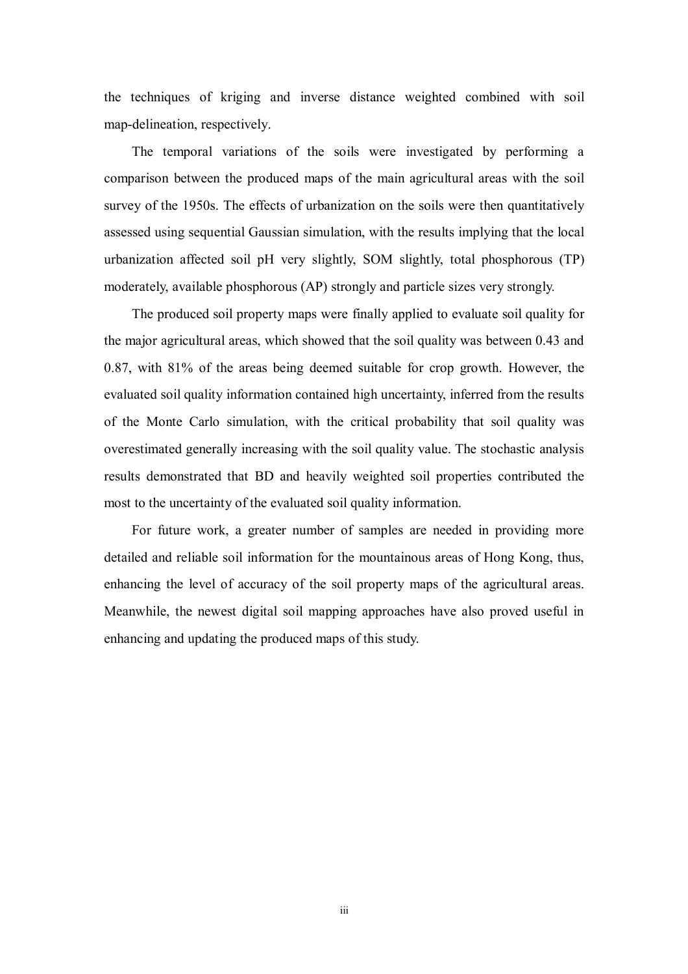the techniques of kriging and inverse distance weighted combined with soil map-delineation, respectively.

The temporal variations of the soils were investigated by performing a comparison between the produced maps of the main agricultural areas with the soil survey of the 1950s. The effects of urbanization on the soils were then quantitatively assessed using sequential Gaussian simulation, with the results implying that the local urbanization affected soil pH very slightly, SOM slightly, total phosphorous (TP) moderately, available phosphorous (AP) strongly and particle sizes very strongly.

The produced soil property maps were finally applied to evaluate soil quality for the major agricultural areas, which showed that the soil quality was between 0.43 and 0.87, with 81% of the areas being deemed suitable for crop growth. However, the evaluated soil quality information contained high uncertainty, inferred from the results of the Monte Carlo simulation, with the critical probability that soil quality was overestimated generally increasing with the soil quality value. The stochastic analysis results demonstrated that BD and heavily weighted soil properties contributed the most to the uncertainty of the evaluated soil quality information.

For future work, a greater number of samples are needed in providing more detailed and reliable soil information for the mountainous areas of Hong Kong, thus, enhancing the level of accuracy of the soil property maps of the agricultural areas. Meanwhile, the newest digital soil mapping approaches have also proved useful in enhancing and updating the produced maps of this study.

iii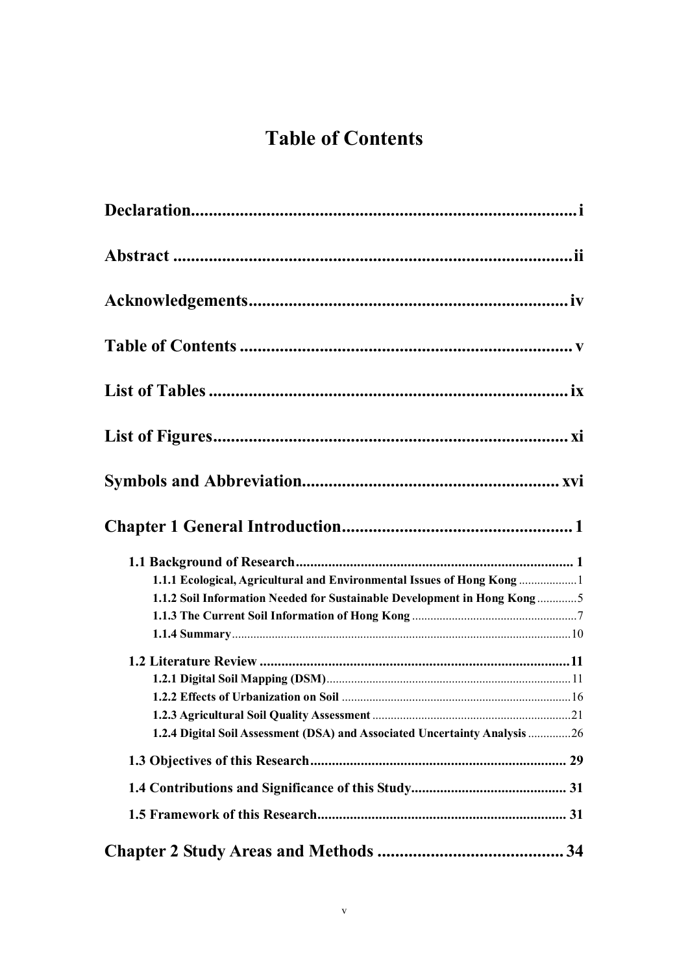## **Table of Contents**

| 1.1.1 Ecological, Agricultural and Environmental Issues of Hong Kong 1     |  |
|----------------------------------------------------------------------------|--|
| 1.1.2 Soil Information Needed for Sustainable Development in Hong Kong5    |  |
|                                                                            |  |
|                                                                            |  |
|                                                                            |  |
|                                                                            |  |
|                                                                            |  |
|                                                                            |  |
| 1.2.4 Digital Soil Assessment (DSA) and Associated Uncertainty Analysis 26 |  |
|                                                                            |  |
|                                                                            |  |
|                                                                            |  |
|                                                                            |  |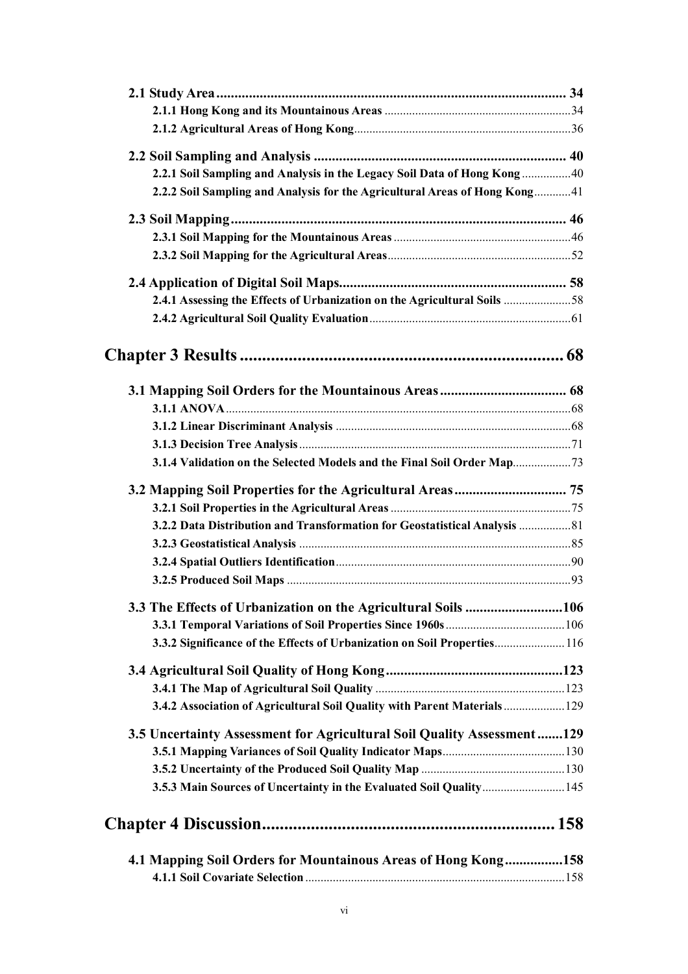| 2.2.1 Soil Sampling and Analysis in the Legacy Soil Data of Hong Kong  40  |  |
|----------------------------------------------------------------------------|--|
| 2.2.2 Soil Sampling and Analysis for the Agricultural Areas of Hong Kong41 |  |
|                                                                            |  |
|                                                                            |  |
|                                                                            |  |
|                                                                            |  |
| 2.4.1 Assessing the Effects of Urbanization on the Agricultural Soils 58   |  |
|                                                                            |  |
|                                                                            |  |
|                                                                            |  |
|                                                                            |  |
|                                                                            |  |
|                                                                            |  |
|                                                                            |  |
| 3.1.4 Validation on the Selected Models and the Final Soil Order Map       |  |
| 3.2 Mapping Soil Properties for the Agricultural Areas 75                  |  |
|                                                                            |  |
| 3.2.2 Data Distribution and Transformation for Geostatistical Analysis  81 |  |
|                                                                            |  |
|                                                                            |  |
|                                                                            |  |
| 3.3 The Effects of Urbanization on the Agricultural Soils 106              |  |
|                                                                            |  |
| 3.3.2 Significance of the Effects of Urbanization on Soil Properties 116   |  |
|                                                                            |  |
|                                                                            |  |
| 3.4.2 Association of Agricultural Soil Quality with Parent Materials 129   |  |
| 3.5 Uncertainty Assessment for Agricultural Soil Quality Assessment129     |  |
|                                                                            |  |
|                                                                            |  |
| 3.5.3 Main Sources of Uncertainty in the Evaluated Soil Quality 145        |  |
|                                                                            |  |
| 4.1 Mapping Soil Orders for Mountainous Areas of Hong Kong158              |  |
|                                                                            |  |
|                                                                            |  |